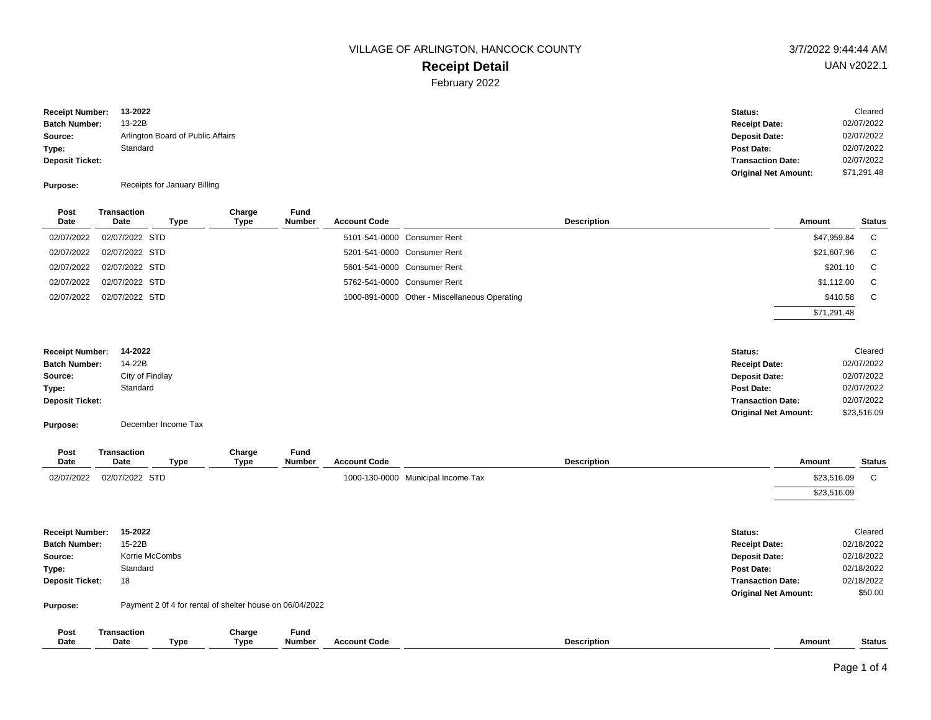# **Receipt Detail**

February 2022

**Batch Number:** 13-22B **Deposit Ticket: Type: Source: Receipt Number: 13-2022** Arlington Board of Public Affairs Standard

**Purpose:** Receipts for January Billing

| Post<br>Date | Transaction<br>Date | Type | Charge<br>Type | Fund<br><b>Number</b> | <b>Account Code</b> | <b>Description</b>                            | Amount      | <b>Status</b> |
|--------------|---------------------|------|----------------|-----------------------|---------------------|-----------------------------------------------|-------------|---------------|
| 02/07/2022   | 02/07/2022 STD      |      |                |                       |                     | 5101-541-0000 Consumer Rent                   | \$47,959.84 | C             |
| 02/07/2022   | 02/07/2022 STD      |      |                |                       |                     | 5201-541-0000 Consumer Rent                   | \$21,607.96 | C             |
| 02/07/2022   | 02/07/2022 STD      |      |                |                       |                     | 5601-541-0000 Consumer Rent                   | \$201.10    | C.            |
| 02/07/2022   | 02/07/2022 STD      |      |                |                       |                     | 5762-541-0000 Consumer Rent                   | \$1,112.00  | C             |
| 02/07/2022   | 02/07/2022 STD      |      |                |                       |                     | 1000-891-0000 Other - Miscellaneous Operating | \$410.58    | C             |
|              |                     |      |                |                       |                     |                                               | \$71,291.48 |               |
|              |                     |      |                |                       |                     |                                               |             |               |

| <b>Receipt Number:</b> | 14-2022         | Status:                     | Cleared     |
|------------------------|-----------------|-----------------------------|-------------|
| <b>Batch Number:</b>   | 14-22B          | <b>Receipt Date:</b>        | 02/07/2022  |
| Source:                | City of Findlay | <b>Deposit Date:</b>        | 02/07/2022  |
| Type:                  | Standard        | Post Date:                  | 02/07/2022  |
| <b>Deposit Ticket:</b> |                 | <b>Transaction Date:</b>    | 02/07/2022  |
|                        |                 | <b>Original Net Amount:</b> | \$23,516.09 |

**Purpose:** December Income Tax

| Post<br>Date           | <b>Transaction</b><br>Date | Type           | Charge<br>Type                                           | Fund<br>Number | <b>Account Code</b> | <b>Description</b>                 | Amount                      | <b>Status</b> |
|------------------------|----------------------------|----------------|----------------------------------------------------------|----------------|---------------------|------------------------------------|-----------------------------|---------------|
| 02/07/2022             | 02/07/2022 STD             |                |                                                          |                |                     | 1000-130-0000 Municipal Income Tax | \$23,516.09                 | C             |
|                        |                            |                |                                                          |                |                     |                                    | \$23,516.09                 |               |
| <b>Receipt Number:</b> | 15-2022                    |                |                                                          |                |                     | Status:                            |                             | Cleared       |
| <b>Batch Number:</b>   | 15-22B                     |                |                                                          |                |                     | <b>Receipt Date:</b>               |                             | 02/18/2022    |
| Source:                |                            | Korrie McCombs |                                                          |                |                     | <b>Deposit Date:</b>               |                             | 02/18/2022    |
| Type:                  | Standard                   |                |                                                          |                |                     | Post Date:                         |                             | 02/18/2022    |
| <b>Deposit Ticket:</b> | 18                         |                |                                                          |                |                     |                                    | <b>Transaction Date:</b>    | 02/18/2022    |
|                        |                            |                |                                                          |                |                     |                                    | <b>Original Net Amount:</b> | \$50.00       |
| Purpose:               |                            |                | Payment 2 0f 4 for rental of shelter house on 06/04/2022 |                |                     |                                    |                             |               |
| Post                   | <b>Transaction</b>         |                | Charge                                                   | Fund           |                     |                                    |                             |               |
| Date                   | Date                       | Type           | <b>Type</b>                                              | Number         | <b>Account Code</b> | <b>Description</b>                 | Amount                      | <b>Status</b> |

02/07/2022 02/07/2022

Status: Cleared

**Receipt Date: Deposit Date:**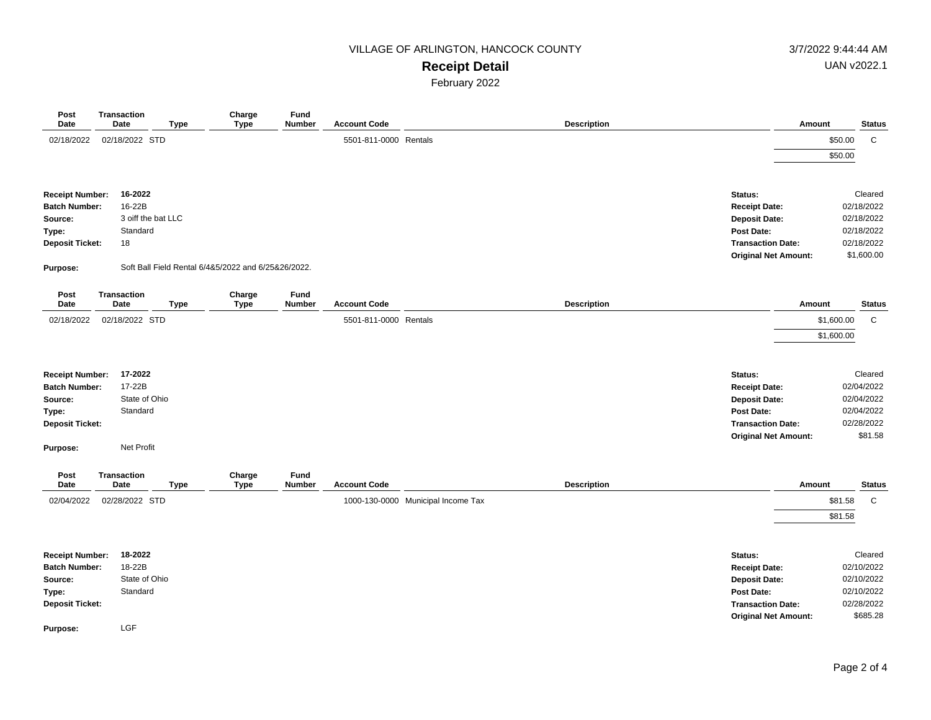## **Receipt Detail**

February 2022

| Post<br>Date                                                                                             | <b>Transaction</b><br>Date                            | <b>Type</b>        | Charge<br><b>Type</b>                               | Fund<br>Number        | <b>Account Code</b>   |                                    | <b>Description</b> |                                                                                                                                  | Amount                   |                                                                               | <b>Status</b> |
|----------------------------------------------------------------------------------------------------------|-------------------------------------------------------|--------------------|-----------------------------------------------------|-----------------------|-----------------------|------------------------------------|--------------------|----------------------------------------------------------------------------------------------------------------------------------|--------------------------|-------------------------------------------------------------------------------|---------------|
| 02/18/2022                                                                                               | 02/18/2022 STD                                        |                    |                                                     |                       | 5501-811-0000 Rentals |                                    |                    |                                                                                                                                  |                          | \$50.00<br>\$50.00                                                            | C             |
| <b>Receipt Number:</b><br><b>Batch Number:</b><br>Source:<br>Type:<br><b>Deposit Ticket:</b><br>Purpose: | 16-2022<br>16-22B<br>Standard<br>18                   | 3 oiff the bat LLC | Soft Ball Field Rental 6/4&5/2022 and 6/25&26/2022. |                       |                       |                                    |                    | Status:<br><b>Receipt Date:</b><br><b>Deposit Date:</b><br>Post Date:<br><b>Transaction Date:</b><br><b>Original Net Amount:</b> |                          | Cleared<br>02/18/2022<br>02/18/2022<br>02/18/2022<br>02/18/2022<br>\$1,600.00 |               |
| Post<br>Date                                                                                             | <b>Transaction</b><br><b>Date</b>                     | <b>Type</b>        | Charge<br><b>Type</b>                               | Fund<br>Number        | <b>Account Code</b>   |                                    | <b>Description</b> |                                                                                                                                  | Amount                   |                                                                               | <b>Status</b> |
| 02/18/2022                                                                                               | 02/18/2022 STD                                        |                    |                                                     |                       | 5501-811-0000 Rentals |                                    |                    |                                                                                                                                  | \$1,600.00<br>\$1,600.00 | $\mathsf{C}$                                                                  |               |
| <b>Receipt Number:</b><br><b>Batch Number:</b><br>Source:<br>Type:<br><b>Deposit Ticket:</b>             | 17-2022<br>17-22B<br>State of Ohio<br>Standard        |                    |                                                     |                       |                       |                                    |                    | Status:<br><b>Receipt Date:</b><br><b>Deposit Date:</b><br>Post Date:<br><b>Transaction Date:</b><br><b>Original Net Amount:</b> |                          | Cleared<br>02/04/2022<br>02/04/2022<br>02/04/2022<br>02/28/2022<br>\$81.58    |               |
| Purpose:                                                                                                 | Net Profit                                            |                    |                                                     |                       |                       |                                    |                    |                                                                                                                                  |                          |                                                                               |               |
| Post<br>Date                                                                                             | Transaction<br>Date                                   | <b>Type</b>        | Charge<br><b>Type</b>                               | Fund<br><b>Number</b> | <b>Account Code</b>   |                                    | <b>Description</b> |                                                                                                                                  | Amount                   |                                                                               | <b>Status</b> |
| 02/04/2022                                                                                               | 02/28/2022 STD                                        |                    |                                                     |                       |                       | 1000-130-0000 Municipal Income Tax |                    |                                                                                                                                  |                          | \$81.58<br>\$81.58                                                            | $\mathsf{C}$  |
| <b>Receipt Number:</b><br><b>Batch Number:</b><br>Source:<br>Type:<br><b>Deposit Ticket:</b><br>Purpose: | 18-2022<br>18-22B<br>State of Ohio<br>Standard<br>LGF |                    |                                                     |                       |                       |                                    |                    | Status:<br><b>Receipt Date:</b><br><b>Deposit Date:</b><br>Post Date:<br><b>Transaction Date:</b><br><b>Original Net Amount:</b> |                          | Cleared<br>02/10/2022<br>02/10/2022<br>02/10/2022<br>02/28/2022<br>\$685.28   |               |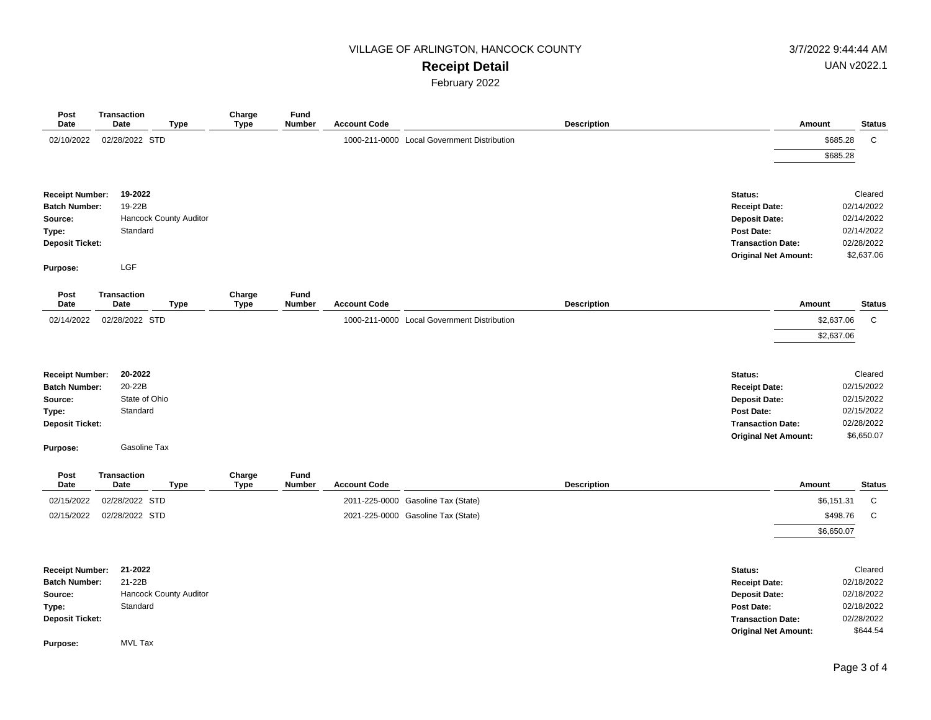### **Receipt Detail**

February 2022

| Post<br>Date           | <b>Transaction</b><br>Date |                | <b>Type</b>            | Charge<br><b>Type</b> | Fund<br><b>Number</b> | <b>Account Code</b> |                                             | <b>Description</b> |                             | Amount               | <b>Status</b>            |
|------------------------|----------------------------|----------------|------------------------|-----------------------|-----------------------|---------------------|---------------------------------------------|--------------------|-----------------------------|----------------------|--------------------------|
| 02/10/2022             |                            | 02/28/2022 STD |                        |                       |                       |                     | 1000-211-0000 Local Government Distribution |                    |                             | \$685.28<br>\$685.28 | $\mathsf{C}$             |
| <b>Receipt Number:</b> |                            | 19-2022        |                        |                       |                       |                     |                                             |                    | Status:                     |                      | Cleared                  |
| <b>Batch Number:</b>   |                            | 19-22B         |                        |                       |                       |                     |                                             |                    | <b>Receipt Date:</b>        |                      | 02/14/2022               |
| Source:                |                            |                | Hancock County Auditor |                       |                       |                     |                                             |                    | <b>Deposit Date:</b>        |                      | 02/14/2022               |
| Type:                  |                            | Standard       |                        |                       |                       |                     |                                             |                    | <b>Post Date:</b>           |                      | 02/14/2022               |
| <b>Deposit Ticket:</b> |                            |                |                        |                       |                       |                     |                                             |                    | <b>Transaction Date:</b>    |                      | 02/28/2022<br>\$2,637.06 |
| Purpose:               |                            | LGF            |                        |                       |                       |                     |                                             |                    | <b>Original Net Amount:</b> |                      |                          |
| Post<br>Date           | <b>Transaction</b><br>Date |                | <b>Type</b>            | Charge<br><b>Type</b> | Fund<br><b>Number</b> | <b>Account Code</b> |                                             | <b>Description</b> |                             | Amount               | <b>Status</b>            |
| 02/14/2022             |                            | 02/28/2022 STD |                        |                       |                       |                     | 1000-211-0000 Local Government Distribution |                    |                             | \$2,637.06           | $\mathbf C$              |
|                        |                            |                |                        |                       |                       |                     |                                             |                    |                             | \$2,637.06           |                          |
|                        |                            |                |                        |                       |                       |                     |                                             |                    |                             |                      |                          |
| <b>Receipt Number:</b> |                            | 20-2022        |                        |                       |                       |                     |                                             |                    | Status:                     |                      | Cleared                  |
| <b>Batch Number:</b>   |                            | 20-22B         |                        |                       |                       |                     |                                             |                    | <b>Receipt Date:</b>        |                      | 02/15/2022               |
| Source:                |                            | State of Ohio  |                        |                       |                       |                     |                                             |                    | <b>Deposit Date:</b>        |                      | 02/15/2022               |
| Type:                  |                            | Standard       |                        |                       |                       |                     |                                             |                    | Post Date:                  |                      | 02/15/2022               |
| <b>Deposit Ticket:</b> |                            |                |                        |                       |                       |                     |                                             |                    | <b>Transaction Date:</b>    |                      | 02/28/2022               |
| Purpose:               |                            | Gasoline Tax   |                        |                       |                       |                     |                                             |                    | <b>Original Net Amount:</b> |                      | \$6,650.07               |
|                        |                            |                |                        |                       |                       |                     |                                             |                    |                             |                      |                          |
| Post<br>Date           | Transaction<br>Date        |                | <b>Type</b>            | Charge<br><b>Type</b> | Fund<br><b>Number</b> | <b>Account Code</b> |                                             | <b>Description</b> |                             | Amount               | <b>Status</b>            |
| 02/15/2022             |                            | 02/28/2022 STD |                        |                       |                       |                     | 2011-225-0000 Gasoline Tax (State)          |                    |                             | \$6,151.31           | C                        |
| 02/15/2022             |                            | 02/28/2022 STD |                        |                       |                       |                     | 2021-225-0000 Gasoline Tax (State)          |                    |                             | \$498.76             | C                        |
|                        |                            |                |                        |                       |                       |                     |                                             |                    |                             | \$6,650.07           |                          |
|                        |                            |                |                        |                       |                       |                     |                                             |                    |                             |                      |                          |
| <b>Receipt Number:</b> |                            | 21-2022        |                        |                       |                       |                     |                                             |                    | Status:                     |                      | Cleared                  |
| <b>Batch Number:</b>   |                            | 21-22B         |                        |                       |                       |                     |                                             |                    | <b>Receipt Date:</b>        |                      | 02/18/2022               |
| Source:                |                            |                | Hancock County Auditor |                       |                       |                     |                                             |                    | <b>Deposit Date:</b>        |                      | 02/18/2022               |
| Type:                  |                            | Standard       |                        |                       |                       |                     |                                             |                    | <b>Post Date:</b>           |                      | 02/18/2022               |
| <b>Deposit Ticket:</b> |                            |                |                        |                       |                       |                     |                                             |                    | <b>Transaction Date:</b>    |                      | 02/28/2022               |
| Purpose:               |                            | <b>MVL Tax</b> |                        |                       |                       |                     |                                             |                    | <b>Original Net Amount:</b> |                      | \$644.54                 |
|                        |                            |                |                        |                       |                       |                     |                                             |                    |                             |                      |                          |